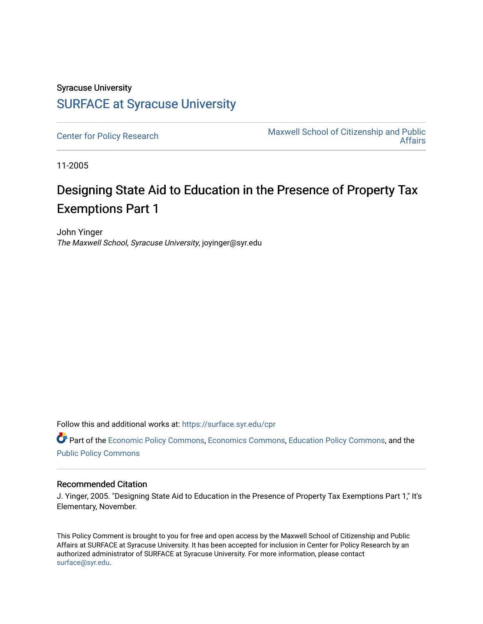## Syracuse University [SURFACE at Syracuse University](https://surface.syr.edu/)

[Center for Policy Research](https://surface.syr.edu/cpr) Maxwell School of Citizenship and Public [Affairs](https://surface.syr.edu/maxwell) 

11-2005

## Designing State Aid to Education in the Presence of Property Tax Exemptions Part 1

John Yinger The Maxwell School, Syracuse University, joyinger@syr.edu

Follow this and additional works at: [https://surface.syr.edu/cpr](https://surface.syr.edu/cpr?utm_source=surface.syr.edu%2Fcpr%2F366&utm_medium=PDF&utm_campaign=PDFCoverPages) 

Part of the [Economic Policy Commons](http://network.bepress.com/hgg/discipline/1025?utm_source=surface.syr.edu%2Fcpr%2F366&utm_medium=PDF&utm_campaign=PDFCoverPages), [Economics Commons,](http://network.bepress.com/hgg/discipline/340?utm_source=surface.syr.edu%2Fcpr%2F366&utm_medium=PDF&utm_campaign=PDFCoverPages) [Education Policy Commons](http://network.bepress.com/hgg/discipline/1026?utm_source=surface.syr.edu%2Fcpr%2F366&utm_medium=PDF&utm_campaign=PDFCoverPages), and the [Public Policy Commons](http://network.bepress.com/hgg/discipline/400?utm_source=surface.syr.edu%2Fcpr%2F366&utm_medium=PDF&utm_campaign=PDFCoverPages)

## Recommended Citation

J. Yinger, 2005. "Designing State Aid to Education in the Presence of Property Tax Exemptions Part 1," It's Elementary, November.

This Policy Comment is brought to you for free and open access by the Maxwell School of Citizenship and Public Affairs at SURFACE at Syracuse University. It has been accepted for inclusion in Center for Policy Research by an authorized administrator of SURFACE at Syracuse University. For more information, please contact [surface@syr.edu.](mailto:surface@syr.edu)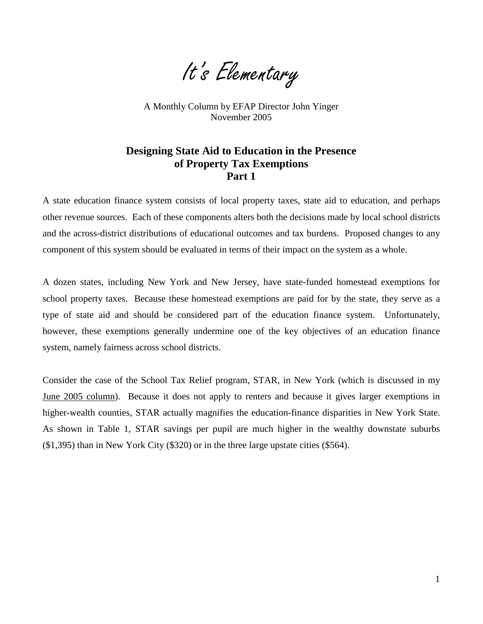It's Elementary

A Monthly Column by EFAP Director John Yinger November 2005

## **Designing State Aid to Education in the Presence of Property Tax Exemptions Part 1**

A state education finance system consists of local property taxes, state aid to education, and perhaps other revenue sources. Each of these components alters both the decisions made by local school districts and the across-district distributions of educational outcomes and tax burdens. Proposed changes to any component of this system should be evaluated in terms of their impact on the system as a whole.

A dozen states, including New York and New Jersey, have state-funded homestead exemptions for school property taxes. Because these homestead exemptions are paid for by the state, they serve as a type of state aid and should be considered part of the education finance system. Unfortunately, however, these exemptions generally undermine one of the key objectives of an education finance system, namely fairness across school districts.

Consider the case of the School Tax Relief program, STAR, in New York (which is discussed in my [June 2005 column\)](http://cpr.maxwell.syr.edu/efap/MONTHLY_COLUMN/June2005.htm). Because it does not apply to renters and because it gives larger exemptions in higher-wealth counties, STAR actually magnifies the education-finance disparities in New York State. As shown in Table 1, STAR savings per pupil are much higher in the wealthy downstate suburbs (\$1,395) than in New York City (\$320) or in the three large upstate cities (\$564).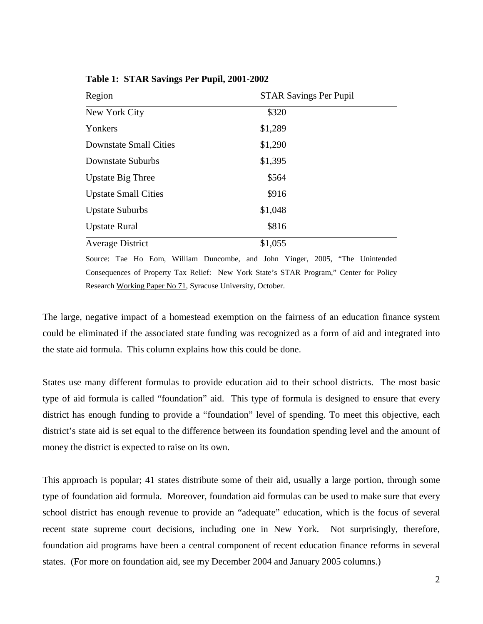| $1$ avit 1. STAR Savings I to 1 upil, 2001-2002 |                               |  |
|-------------------------------------------------|-------------------------------|--|
| Region                                          | <b>STAR Savings Per Pupil</b> |  |
| New York City                                   | \$320                         |  |
| Yonkers                                         | \$1,289                       |  |
| <b>Downstate Small Cities</b>                   | \$1,290                       |  |
| Downstate Suburbs                               | \$1,395                       |  |
| <b>Upstate Big Three</b>                        | \$564                         |  |
| <b>Upstate Small Cities</b>                     | \$916                         |  |
| <b>Upstate Suburbs</b>                          | \$1,048                       |  |
| <b>Upstate Rural</b>                            | \$816                         |  |
| <b>Average District</b>                         | \$1,055                       |  |

**Table 1: STAR Savings Per Pupil, 2001-2002** 

Source: Tae Ho Eom, William Duncombe, and John Yinger, 2005, "The Unintended Consequences of Property Tax Relief: New York State's STAR Program," Center for Policy Research [Working Paper No 71,](http://www-cpr.maxwell.syr.edu/cprwps/wps71abs.htm) Syracuse University, October.

The large, negative impact of a homestead exemption on the fairness of an education finance system could be eliminated if the associated state funding was recognized as a form of aid and integrated into the state aid formula. This column explains how this could be done.

States use many different formulas to provide education aid to their school districts. The most basic type of aid formula is called "foundation" aid. This type of formula is designed to ensure that every district has enough funding to provide a "foundation" level of spending. To meet this objective, each district's state aid is set equal to the difference between its foundation spending level and the amount of money the district is expected to raise on its own.

This approach is popular; 41 states distribute some of their aid, usually a large portion, through some type of foundation aid formula. Moreover, foundation aid formulas can be used to make sure that every school district has enough revenue to provide an "adequate" education, which is the focus of several recent state supreme court decisions, including one in New York. Not surprisingly, therefore, foundation aid programs have been a central component of recent education finance reforms in several states. (For more on foundation aid, see my [December 2004](http://cpr.maxwell.syr.edu/efap/MONTHLY_COLUMN/Dec2004.htm) and [January 2005](http://cpr.maxwell.syr.edu/efap/MONTHLY_COLUMN/Jan2005.htm) columns.)